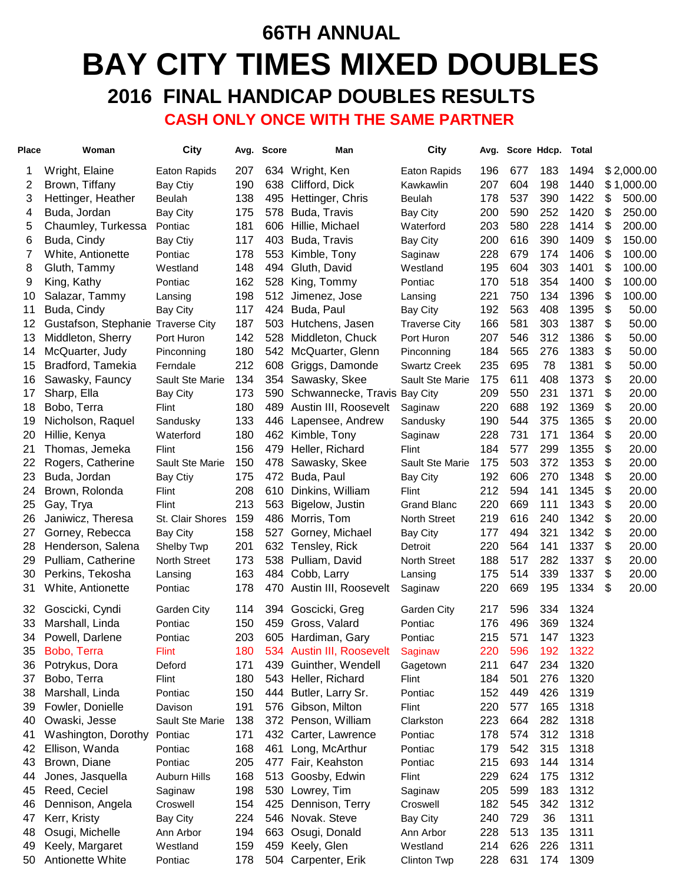# **66TH ANNUAL BAY CITY TIMES MIXED DOUBLES 2016 FINAL HANDICAP DOUBLES RESULTS**

 **CASH ONLY ONCE WITH THE SAME PARTNER**

| 183<br>1494<br>\$2,000.00<br>Wright, Elaine<br>207<br>634 Wright, Ken<br>196<br>677<br>1<br>Eaton Rapids<br>Eaton Rapids<br>604<br>\$1,000.00<br>2<br>190<br>638<br>207<br>198<br>1440<br>Brown, Tiffany<br>Clifford, Dick<br>Bay Ctiy<br>Kawkawlin<br>537<br>\$<br>3<br>138<br>178<br>390<br>1422<br>500.00<br>Hettinger, Heather<br>Beulah<br>495<br>Hettinger, Chris<br>Beulah<br>\$<br>250.00<br>175<br>200<br>590<br>252<br>1420<br>4<br>Buda, Jordan<br><b>Bay City</b><br>578<br>Buda, Travis<br><b>Bay City</b><br>580<br>\$<br>200.00<br>5<br>Chaumley, Turkessa<br>181<br>203<br>228<br>1414<br>Pontiac<br>606<br>Hillie, Michael<br>Waterford<br>\$<br>150.00<br>6<br>Buda, Cindy<br>117<br>200<br>616<br>390<br>1409<br><b>Bay Ctiy</b><br>403<br>Buda, Travis<br><b>Bay City</b><br>7<br>228<br>679<br>1406<br>\$<br>100.00<br>178<br>553<br>174<br>White, Antionette<br>Pontiac<br>Kimble, Tony<br>Saginaw<br>148<br>195<br>604<br>1401<br>\$<br>100.00<br>8<br>494<br>Gluth, David<br>303<br>Gluth, Tammy<br>Westland<br>Westland<br>\$<br>518<br>100.00<br>9<br>King, Kathy<br>162<br>528<br>170<br>354<br>1400<br>King, Tommy<br>Pontiac<br>Pontiac<br>\$<br>221<br>750<br>134<br>100.00<br>Salazar, Tammy<br>198<br>512<br>1396<br>10<br>Jimenez, Jose<br>Lansing<br>Lansing<br>192<br>563<br>1395<br>\$<br>50.00<br>11<br>Buda, Cindy<br>117<br>424<br>Buda, Paul<br>408<br><b>Bay City</b><br><b>Bay City</b><br>581<br>\$<br>12<br>Gustafson, Stephanie Traverse City<br>166<br>303<br>1387<br>50.00<br>187<br>503<br>Hutchens, Jasen<br><b>Traverse City</b><br>142<br>546<br>312<br>1386<br>\$<br>50.00<br>13<br>Middleton, Sherry<br>528<br>207<br>Port Huron<br>Middleton, Chuck<br>Port Huron<br>565<br>276<br>1383<br>\$<br>50.00<br>McQuarter, Judy<br>180<br>542<br>McQuarter, Glenn<br>184<br>14<br>Pinconning<br>Pinconning<br>1381<br>\$<br>50.00<br>Bradford, Tamekia<br>212<br>608<br>Griggs, Damonde<br>235<br>695<br>78<br>15<br><b>Swartz Creek</b><br>Ferndale<br>1373<br>\$<br>20.00<br>134<br>354<br>175<br>611<br>408<br>16<br>Sawasky, Fauncy<br>Sault Ste Marie<br>Sawasky, Skee<br>Sault Ste Marie<br>550<br>1371<br>\$<br>20.00<br>Sharp, Ella<br>173<br>Schwannecke, Travis Bay City<br>209<br>231<br>17<br><b>Bay City</b><br>590<br>688<br>\$<br>20.00<br>180<br>Austin III, Roosevelt<br>220<br>192<br>1369<br>18<br>Bobo, Terra<br>489<br>Flint<br>Saginaw<br>\$<br>19<br>133<br>190<br>544<br>375<br>1365<br>20.00<br>Nicholson, Raquel<br>Sandusky<br>446<br>Lapensee, Andrew<br>Sandusky<br>228<br>731<br>1364<br>\$<br>20.00<br>20<br>180<br>462<br>171<br>Hillie, Kenya<br>Kimble, Tony<br>Waterford<br>Saginaw<br>577<br>299<br>1355<br>\$<br>21<br>156<br>Heller, Richard<br>184<br>20.00<br>Thomas, Jemeka<br>479<br>Flint<br>Flint<br>503<br>1353<br>\$<br>22<br>150<br>175<br>372<br>20.00<br>Rogers, Catherine<br>Sault Ste Marie<br>478<br>Sawasky, Skee<br>Sault Ste Marie<br>606<br>270<br>1348<br>\$<br>20.00<br>23<br>Buda, Jordan<br>175<br>472<br>192<br>Buda, Paul<br>Bay Ctiy<br><b>Bay City</b><br>212<br>594<br>\$<br>20.00<br>Brown, Rolonda<br>208<br>610<br>Dinkins, William<br>141<br>1345<br>24<br>Flint<br>Flint<br>\$<br>25<br>213<br>563<br>220<br>669<br>111<br>1343<br>20.00<br>Gay, Trya<br>Flint<br>Bigelow, Justin<br><b>Grand Blanc</b><br>159<br>219<br>1342<br>\$<br>20.00<br>26<br>486<br>Morris, Tom<br>North Street<br>616<br>240<br>Janiwicz, Theresa<br>St. Clair Shores<br>494<br>321<br>1342<br>\$<br>20.00<br>Gorney, Rebecca<br>158<br>177<br>27<br><b>Bay City</b><br>527<br>Gorney, Michael<br><b>Bay City</b><br>564<br>1337<br>\$<br>Henderson, Salena<br>201<br>632<br>220<br>141<br>20.00<br>28<br>Shelby Twp<br>Tensley, Rick<br>Detroit<br>\$<br>Pulliam, Catherine<br>173<br>538<br>Pulliam, David<br>188<br>517<br>282<br>1337<br>20.00<br>29<br><b>North Street</b><br><b>North Street</b><br>\$<br>20.00<br>30<br>163<br>Cobb, Larry<br>175<br>514<br>339<br>1337<br>Perkins, Tekosha<br>484<br>Lansing<br>Lansing<br>1334<br>\$<br>20.00<br>178<br>Austin III, Roosevelt<br>220<br>669<br>195<br>31<br>White, Antionette<br>Pontiac<br>470<br>Saginaw<br>596<br>334<br>1324<br>32<br>Goscicki, Cyndi<br>114<br>394<br>Goscicki, Greg<br>217<br>Garden City<br>Garden City<br>1324<br>150<br>Gross, Valard<br>176<br>496<br>369<br>33<br>Marshall, Linda<br>459<br>Pontiac<br>Pontiac<br>215<br>571<br>1323<br>Powell, Darlene<br>203<br>605<br>Hardiman, Gary<br>147<br>34<br>Pontiac<br>Pontiac<br>220<br>596<br>1322<br>35<br>Bobo, Terra<br><b>Flint</b><br>180<br>534 Austin III, Roosevelt<br>192<br>Saginaw<br>234<br>1320<br>Potrykus, Dora<br>171<br>211<br>647<br>36<br>Deford<br>439<br>Guinther, Wendell<br>Gagetown<br>501<br>276<br>1320<br>Bobo, Terra<br>180<br>543<br>184<br>37<br>Flint<br>Heller, Richard<br>Flint<br>426<br>Marshall, Linda<br>150<br>Butler, Larry Sr.<br>152<br>449<br>1319<br>38<br>Pontiac<br>444<br>Pontiac<br>191<br>Gibson, Milton<br>220<br>577<br>165<br>1318<br>39<br>Fowler, Donielle<br>576<br>Flint<br>Davison<br>664<br>Owaski, Jesse<br>138<br>223<br>282<br>1318<br>40<br>Sault Ste Marie<br>372 Penson, William<br>Clarkston<br>171<br>178<br>574<br>312<br>1318<br>Washington, Dorothy<br>432<br>Carter, Lawrence<br>Pontiac<br>41<br>Pontiac<br>Ellison, Wanda<br>168<br>179<br>542<br>315<br>1318<br>42<br>Pontiac<br>461<br>Long, McArthur<br>Pontiac<br>693<br>43<br>Brown, Diane<br>205<br>215<br>144<br>1314<br>Pontiac<br>477<br>Fair, Keahston<br>Pontiac<br>624<br>168<br>513<br>229<br>175<br>1312<br>Jones, Jasquella<br>Goosby, Edwin<br>44<br>Auburn Hills<br>Flint<br>599<br>45<br>Reed, Ceciel<br>198<br>530<br>205<br>183<br>1312<br>Lowrey, Tim<br>Saginaw<br>Saginaw | <b>Place</b> | Woman | City | Avg. | <b>Score</b> | Man | City | Avg. | Score Hdcp. | Total |  |
|-----------------------------------------------------------------------------------------------------------------------------------------------------------------------------------------------------------------------------------------------------------------------------------------------------------------------------------------------------------------------------------------------------------------------------------------------------------------------------------------------------------------------------------------------------------------------------------------------------------------------------------------------------------------------------------------------------------------------------------------------------------------------------------------------------------------------------------------------------------------------------------------------------------------------------------------------------------------------------------------------------------------------------------------------------------------------------------------------------------------------------------------------------------------------------------------------------------------------------------------------------------------------------------------------------------------------------------------------------------------------------------------------------------------------------------------------------------------------------------------------------------------------------------------------------------------------------------------------------------------------------------------------------------------------------------------------------------------------------------------------------------------------------------------------------------------------------------------------------------------------------------------------------------------------------------------------------------------------------------------------------------------------------------------------------------------------------------------------------------------------------------------------------------------------------------------------------------------------------------------------------------------------------------------------------------------------------------------------------------------------------------------------------------------------------------------------------------------------------------------------------------------------------------------------------------------------------------------------------------------------------------------------------------------------------------------------------------------------------------------------------------------------------------------------------------------------------------------------------------------------------------------------------------------------------------------------------------------------------------------------------------------------------------------------------------------------------------------------------------------------------------------------------------------------------------------------------------------------------------------------------------------------------------------------------------------------------------------------------------------------------------------------------------------------------------------------------------------------------------------------------------------------------------------------------------------------------------------------------------------------------------------------------------------------------------------------------------------------------------------------------------------------------------------------------------------------------------------------------------------------------------------------------------------------------------------------------------------------------------------------------------------------------------------------------------------------------------------------------------------------------------------------------------------------------------------------------------------------------------------------------------------------------------------------------------------------------------------------------------------------------------------------------------------------------------------------------------------------------------------------------------------------------------------------------------------------------------------------------------------------------------------------------------------------------------------------------------------------------------------------------------------------------------------------------------------------------------------------------------------------------------------------------------------------------------------------------------------------------------------------------------------------------------------------------------------------------------------------------------------------------------------------------------------------------------------------------------------------------------------------------------------------------------------------------------------------------------------------------------------------------------------------------------------------------------------------------------------------------------------------------------------------------------------------------------------------------------------------------------------------------------------------------------------------------------------------------------------------------------------------------------|--------------|-------|------|------|--------------|-----|------|------|-------------|-------|--|
|                                                                                                                                                                                                                                                                                                                                                                                                                                                                                                                                                                                                                                                                                                                                                                                                                                                                                                                                                                                                                                                                                                                                                                                                                                                                                                                                                                                                                                                                                                                                                                                                                                                                                                                                                                                                                                                                                                                                                                                                                                                                                                                                                                                                                                                                                                                                                                                                                                                                                                                                                                                                                                                                                                                                                                                                                                                                                                                                                                                                                                                                                                                                                                                                                                                                                                                                                                                                                                                                                                                                                                                                                                                                                                                                                                                                                                                                                                                                                                                                                                                                                                                                                                                                                                                                                                                                                                                                                                                                                                                                                                                                                                                                                                                                                                                                                                                                                                                                                                                                                                                                                                                                                                                                                                                                                                                                                                                                                                                                                                                                                                                                                                                                                                                                                           |              |       |      |      |              |     |      |      |             |       |  |
|                                                                                                                                                                                                                                                                                                                                                                                                                                                                                                                                                                                                                                                                                                                                                                                                                                                                                                                                                                                                                                                                                                                                                                                                                                                                                                                                                                                                                                                                                                                                                                                                                                                                                                                                                                                                                                                                                                                                                                                                                                                                                                                                                                                                                                                                                                                                                                                                                                                                                                                                                                                                                                                                                                                                                                                                                                                                                                                                                                                                                                                                                                                                                                                                                                                                                                                                                                                                                                                                                                                                                                                                                                                                                                                                                                                                                                                                                                                                                                                                                                                                                                                                                                                                                                                                                                                                                                                                                                                                                                                                                                                                                                                                                                                                                                                                                                                                                                                                                                                                                                                                                                                                                                                                                                                                                                                                                                                                                                                                                                                                                                                                                                                                                                                                                           |              |       |      |      |              |     |      |      |             |       |  |
|                                                                                                                                                                                                                                                                                                                                                                                                                                                                                                                                                                                                                                                                                                                                                                                                                                                                                                                                                                                                                                                                                                                                                                                                                                                                                                                                                                                                                                                                                                                                                                                                                                                                                                                                                                                                                                                                                                                                                                                                                                                                                                                                                                                                                                                                                                                                                                                                                                                                                                                                                                                                                                                                                                                                                                                                                                                                                                                                                                                                                                                                                                                                                                                                                                                                                                                                                                                                                                                                                                                                                                                                                                                                                                                                                                                                                                                                                                                                                                                                                                                                                                                                                                                                                                                                                                                                                                                                                                                                                                                                                                                                                                                                                                                                                                                                                                                                                                                                                                                                                                                                                                                                                                                                                                                                                                                                                                                                                                                                                                                                                                                                                                                                                                                                                           |              |       |      |      |              |     |      |      |             |       |  |
|                                                                                                                                                                                                                                                                                                                                                                                                                                                                                                                                                                                                                                                                                                                                                                                                                                                                                                                                                                                                                                                                                                                                                                                                                                                                                                                                                                                                                                                                                                                                                                                                                                                                                                                                                                                                                                                                                                                                                                                                                                                                                                                                                                                                                                                                                                                                                                                                                                                                                                                                                                                                                                                                                                                                                                                                                                                                                                                                                                                                                                                                                                                                                                                                                                                                                                                                                                                                                                                                                                                                                                                                                                                                                                                                                                                                                                                                                                                                                                                                                                                                                                                                                                                                                                                                                                                                                                                                                                                                                                                                                                                                                                                                                                                                                                                                                                                                                                                                                                                                                                                                                                                                                                                                                                                                                                                                                                                                                                                                                                                                                                                                                                                                                                                                                           |              |       |      |      |              |     |      |      |             |       |  |
|                                                                                                                                                                                                                                                                                                                                                                                                                                                                                                                                                                                                                                                                                                                                                                                                                                                                                                                                                                                                                                                                                                                                                                                                                                                                                                                                                                                                                                                                                                                                                                                                                                                                                                                                                                                                                                                                                                                                                                                                                                                                                                                                                                                                                                                                                                                                                                                                                                                                                                                                                                                                                                                                                                                                                                                                                                                                                                                                                                                                                                                                                                                                                                                                                                                                                                                                                                                                                                                                                                                                                                                                                                                                                                                                                                                                                                                                                                                                                                                                                                                                                                                                                                                                                                                                                                                                                                                                                                                                                                                                                                                                                                                                                                                                                                                                                                                                                                                                                                                                                                                                                                                                                                                                                                                                                                                                                                                                                                                                                                                                                                                                                                                                                                                                                           |              |       |      |      |              |     |      |      |             |       |  |
|                                                                                                                                                                                                                                                                                                                                                                                                                                                                                                                                                                                                                                                                                                                                                                                                                                                                                                                                                                                                                                                                                                                                                                                                                                                                                                                                                                                                                                                                                                                                                                                                                                                                                                                                                                                                                                                                                                                                                                                                                                                                                                                                                                                                                                                                                                                                                                                                                                                                                                                                                                                                                                                                                                                                                                                                                                                                                                                                                                                                                                                                                                                                                                                                                                                                                                                                                                                                                                                                                                                                                                                                                                                                                                                                                                                                                                                                                                                                                                                                                                                                                                                                                                                                                                                                                                                                                                                                                                                                                                                                                                                                                                                                                                                                                                                                                                                                                                                                                                                                                                                                                                                                                                                                                                                                                                                                                                                                                                                                                                                                                                                                                                                                                                                                                           |              |       |      |      |              |     |      |      |             |       |  |
|                                                                                                                                                                                                                                                                                                                                                                                                                                                                                                                                                                                                                                                                                                                                                                                                                                                                                                                                                                                                                                                                                                                                                                                                                                                                                                                                                                                                                                                                                                                                                                                                                                                                                                                                                                                                                                                                                                                                                                                                                                                                                                                                                                                                                                                                                                                                                                                                                                                                                                                                                                                                                                                                                                                                                                                                                                                                                                                                                                                                                                                                                                                                                                                                                                                                                                                                                                                                                                                                                                                                                                                                                                                                                                                                                                                                                                                                                                                                                                                                                                                                                                                                                                                                                                                                                                                                                                                                                                                                                                                                                                                                                                                                                                                                                                                                                                                                                                                                                                                                                                                                                                                                                                                                                                                                                                                                                                                                                                                                                                                                                                                                                                                                                                                                                           |              |       |      |      |              |     |      |      |             |       |  |
|                                                                                                                                                                                                                                                                                                                                                                                                                                                                                                                                                                                                                                                                                                                                                                                                                                                                                                                                                                                                                                                                                                                                                                                                                                                                                                                                                                                                                                                                                                                                                                                                                                                                                                                                                                                                                                                                                                                                                                                                                                                                                                                                                                                                                                                                                                                                                                                                                                                                                                                                                                                                                                                                                                                                                                                                                                                                                                                                                                                                                                                                                                                                                                                                                                                                                                                                                                                                                                                                                                                                                                                                                                                                                                                                                                                                                                                                                                                                                                                                                                                                                                                                                                                                                                                                                                                                                                                                                                                                                                                                                                                                                                                                                                                                                                                                                                                                                                                                                                                                                                                                                                                                                                                                                                                                                                                                                                                                                                                                                                                                                                                                                                                                                                                                                           |              |       |      |      |              |     |      |      |             |       |  |
|                                                                                                                                                                                                                                                                                                                                                                                                                                                                                                                                                                                                                                                                                                                                                                                                                                                                                                                                                                                                                                                                                                                                                                                                                                                                                                                                                                                                                                                                                                                                                                                                                                                                                                                                                                                                                                                                                                                                                                                                                                                                                                                                                                                                                                                                                                                                                                                                                                                                                                                                                                                                                                                                                                                                                                                                                                                                                                                                                                                                                                                                                                                                                                                                                                                                                                                                                                                                                                                                                                                                                                                                                                                                                                                                                                                                                                                                                                                                                                                                                                                                                                                                                                                                                                                                                                                                                                                                                                                                                                                                                                                                                                                                                                                                                                                                                                                                                                                                                                                                                                                                                                                                                                                                                                                                                                                                                                                                                                                                                                                                                                                                                                                                                                                                                           |              |       |      |      |              |     |      |      |             |       |  |
|                                                                                                                                                                                                                                                                                                                                                                                                                                                                                                                                                                                                                                                                                                                                                                                                                                                                                                                                                                                                                                                                                                                                                                                                                                                                                                                                                                                                                                                                                                                                                                                                                                                                                                                                                                                                                                                                                                                                                                                                                                                                                                                                                                                                                                                                                                                                                                                                                                                                                                                                                                                                                                                                                                                                                                                                                                                                                                                                                                                                                                                                                                                                                                                                                                                                                                                                                                                                                                                                                                                                                                                                                                                                                                                                                                                                                                                                                                                                                                                                                                                                                                                                                                                                                                                                                                                                                                                                                                                                                                                                                                                                                                                                                                                                                                                                                                                                                                                                                                                                                                                                                                                                                                                                                                                                                                                                                                                                                                                                                                                                                                                                                                                                                                                                                           |              |       |      |      |              |     |      |      |             |       |  |
|                                                                                                                                                                                                                                                                                                                                                                                                                                                                                                                                                                                                                                                                                                                                                                                                                                                                                                                                                                                                                                                                                                                                                                                                                                                                                                                                                                                                                                                                                                                                                                                                                                                                                                                                                                                                                                                                                                                                                                                                                                                                                                                                                                                                                                                                                                                                                                                                                                                                                                                                                                                                                                                                                                                                                                                                                                                                                                                                                                                                                                                                                                                                                                                                                                                                                                                                                                                                                                                                                                                                                                                                                                                                                                                                                                                                                                                                                                                                                                                                                                                                                                                                                                                                                                                                                                                                                                                                                                                                                                                                                                                                                                                                                                                                                                                                                                                                                                                                                                                                                                                                                                                                                                                                                                                                                                                                                                                                                                                                                                                                                                                                                                                                                                                                                           |              |       |      |      |              |     |      |      |             |       |  |
|                                                                                                                                                                                                                                                                                                                                                                                                                                                                                                                                                                                                                                                                                                                                                                                                                                                                                                                                                                                                                                                                                                                                                                                                                                                                                                                                                                                                                                                                                                                                                                                                                                                                                                                                                                                                                                                                                                                                                                                                                                                                                                                                                                                                                                                                                                                                                                                                                                                                                                                                                                                                                                                                                                                                                                                                                                                                                                                                                                                                                                                                                                                                                                                                                                                                                                                                                                                                                                                                                                                                                                                                                                                                                                                                                                                                                                                                                                                                                                                                                                                                                                                                                                                                                                                                                                                                                                                                                                                                                                                                                                                                                                                                                                                                                                                                                                                                                                                                                                                                                                                                                                                                                                                                                                                                                                                                                                                                                                                                                                                                                                                                                                                                                                                                                           |              |       |      |      |              |     |      |      |             |       |  |
|                                                                                                                                                                                                                                                                                                                                                                                                                                                                                                                                                                                                                                                                                                                                                                                                                                                                                                                                                                                                                                                                                                                                                                                                                                                                                                                                                                                                                                                                                                                                                                                                                                                                                                                                                                                                                                                                                                                                                                                                                                                                                                                                                                                                                                                                                                                                                                                                                                                                                                                                                                                                                                                                                                                                                                                                                                                                                                                                                                                                                                                                                                                                                                                                                                                                                                                                                                                                                                                                                                                                                                                                                                                                                                                                                                                                                                                                                                                                                                                                                                                                                                                                                                                                                                                                                                                                                                                                                                                                                                                                                                                                                                                                                                                                                                                                                                                                                                                                                                                                                                                                                                                                                                                                                                                                                                                                                                                                                                                                                                                                                                                                                                                                                                                                                           |              |       |      |      |              |     |      |      |             |       |  |
|                                                                                                                                                                                                                                                                                                                                                                                                                                                                                                                                                                                                                                                                                                                                                                                                                                                                                                                                                                                                                                                                                                                                                                                                                                                                                                                                                                                                                                                                                                                                                                                                                                                                                                                                                                                                                                                                                                                                                                                                                                                                                                                                                                                                                                                                                                                                                                                                                                                                                                                                                                                                                                                                                                                                                                                                                                                                                                                                                                                                                                                                                                                                                                                                                                                                                                                                                                                                                                                                                                                                                                                                                                                                                                                                                                                                                                                                                                                                                                                                                                                                                                                                                                                                                                                                                                                                                                                                                                                                                                                                                                                                                                                                                                                                                                                                                                                                                                                                                                                                                                                                                                                                                                                                                                                                                                                                                                                                                                                                                                                                                                                                                                                                                                                                                           |              |       |      |      |              |     |      |      |             |       |  |
|                                                                                                                                                                                                                                                                                                                                                                                                                                                                                                                                                                                                                                                                                                                                                                                                                                                                                                                                                                                                                                                                                                                                                                                                                                                                                                                                                                                                                                                                                                                                                                                                                                                                                                                                                                                                                                                                                                                                                                                                                                                                                                                                                                                                                                                                                                                                                                                                                                                                                                                                                                                                                                                                                                                                                                                                                                                                                                                                                                                                                                                                                                                                                                                                                                                                                                                                                                                                                                                                                                                                                                                                                                                                                                                                                                                                                                                                                                                                                                                                                                                                                                                                                                                                                                                                                                                                                                                                                                                                                                                                                                                                                                                                                                                                                                                                                                                                                                                                                                                                                                                                                                                                                                                                                                                                                                                                                                                                                                                                                                                                                                                                                                                                                                                                                           |              |       |      |      |              |     |      |      |             |       |  |
|                                                                                                                                                                                                                                                                                                                                                                                                                                                                                                                                                                                                                                                                                                                                                                                                                                                                                                                                                                                                                                                                                                                                                                                                                                                                                                                                                                                                                                                                                                                                                                                                                                                                                                                                                                                                                                                                                                                                                                                                                                                                                                                                                                                                                                                                                                                                                                                                                                                                                                                                                                                                                                                                                                                                                                                                                                                                                                                                                                                                                                                                                                                                                                                                                                                                                                                                                                                                                                                                                                                                                                                                                                                                                                                                                                                                                                                                                                                                                                                                                                                                                                                                                                                                                                                                                                                                                                                                                                                                                                                                                                                                                                                                                                                                                                                                                                                                                                                                                                                                                                                                                                                                                                                                                                                                                                                                                                                                                                                                                                                                                                                                                                                                                                                                                           |              |       |      |      |              |     |      |      |             |       |  |
|                                                                                                                                                                                                                                                                                                                                                                                                                                                                                                                                                                                                                                                                                                                                                                                                                                                                                                                                                                                                                                                                                                                                                                                                                                                                                                                                                                                                                                                                                                                                                                                                                                                                                                                                                                                                                                                                                                                                                                                                                                                                                                                                                                                                                                                                                                                                                                                                                                                                                                                                                                                                                                                                                                                                                                                                                                                                                                                                                                                                                                                                                                                                                                                                                                                                                                                                                                                                                                                                                                                                                                                                                                                                                                                                                                                                                                                                                                                                                                                                                                                                                                                                                                                                                                                                                                                                                                                                                                                                                                                                                                                                                                                                                                                                                                                                                                                                                                                                                                                                                                                                                                                                                                                                                                                                                                                                                                                                                                                                                                                                                                                                                                                                                                                                                           |              |       |      |      |              |     |      |      |             |       |  |
|                                                                                                                                                                                                                                                                                                                                                                                                                                                                                                                                                                                                                                                                                                                                                                                                                                                                                                                                                                                                                                                                                                                                                                                                                                                                                                                                                                                                                                                                                                                                                                                                                                                                                                                                                                                                                                                                                                                                                                                                                                                                                                                                                                                                                                                                                                                                                                                                                                                                                                                                                                                                                                                                                                                                                                                                                                                                                                                                                                                                                                                                                                                                                                                                                                                                                                                                                                                                                                                                                                                                                                                                                                                                                                                                                                                                                                                                                                                                                                                                                                                                                                                                                                                                                                                                                                                                                                                                                                                                                                                                                                                                                                                                                                                                                                                                                                                                                                                                                                                                                                                                                                                                                                                                                                                                                                                                                                                                                                                                                                                                                                                                                                                                                                                                                           |              |       |      |      |              |     |      |      |             |       |  |
|                                                                                                                                                                                                                                                                                                                                                                                                                                                                                                                                                                                                                                                                                                                                                                                                                                                                                                                                                                                                                                                                                                                                                                                                                                                                                                                                                                                                                                                                                                                                                                                                                                                                                                                                                                                                                                                                                                                                                                                                                                                                                                                                                                                                                                                                                                                                                                                                                                                                                                                                                                                                                                                                                                                                                                                                                                                                                                                                                                                                                                                                                                                                                                                                                                                                                                                                                                                                                                                                                                                                                                                                                                                                                                                                                                                                                                                                                                                                                                                                                                                                                                                                                                                                                                                                                                                                                                                                                                                                                                                                                                                                                                                                                                                                                                                                                                                                                                                                                                                                                                                                                                                                                                                                                                                                                                                                                                                                                                                                                                                                                                                                                                                                                                                                                           |              |       |      |      |              |     |      |      |             |       |  |
|                                                                                                                                                                                                                                                                                                                                                                                                                                                                                                                                                                                                                                                                                                                                                                                                                                                                                                                                                                                                                                                                                                                                                                                                                                                                                                                                                                                                                                                                                                                                                                                                                                                                                                                                                                                                                                                                                                                                                                                                                                                                                                                                                                                                                                                                                                                                                                                                                                                                                                                                                                                                                                                                                                                                                                                                                                                                                                                                                                                                                                                                                                                                                                                                                                                                                                                                                                                                                                                                                                                                                                                                                                                                                                                                                                                                                                                                                                                                                                                                                                                                                                                                                                                                                                                                                                                                                                                                                                                                                                                                                                                                                                                                                                                                                                                                                                                                                                                                                                                                                                                                                                                                                                                                                                                                                                                                                                                                                                                                                                                                                                                                                                                                                                                                                           |              |       |      |      |              |     |      |      |             |       |  |
|                                                                                                                                                                                                                                                                                                                                                                                                                                                                                                                                                                                                                                                                                                                                                                                                                                                                                                                                                                                                                                                                                                                                                                                                                                                                                                                                                                                                                                                                                                                                                                                                                                                                                                                                                                                                                                                                                                                                                                                                                                                                                                                                                                                                                                                                                                                                                                                                                                                                                                                                                                                                                                                                                                                                                                                                                                                                                                                                                                                                                                                                                                                                                                                                                                                                                                                                                                                                                                                                                                                                                                                                                                                                                                                                                                                                                                                                                                                                                                                                                                                                                                                                                                                                                                                                                                                                                                                                                                                                                                                                                                                                                                                                                                                                                                                                                                                                                                                                                                                                                                                                                                                                                                                                                                                                                                                                                                                                                                                                                                                                                                                                                                                                                                                                                           |              |       |      |      |              |     |      |      |             |       |  |
|                                                                                                                                                                                                                                                                                                                                                                                                                                                                                                                                                                                                                                                                                                                                                                                                                                                                                                                                                                                                                                                                                                                                                                                                                                                                                                                                                                                                                                                                                                                                                                                                                                                                                                                                                                                                                                                                                                                                                                                                                                                                                                                                                                                                                                                                                                                                                                                                                                                                                                                                                                                                                                                                                                                                                                                                                                                                                                                                                                                                                                                                                                                                                                                                                                                                                                                                                                                                                                                                                                                                                                                                                                                                                                                                                                                                                                                                                                                                                                                                                                                                                                                                                                                                                                                                                                                                                                                                                                                                                                                                                                                                                                                                                                                                                                                                                                                                                                                                                                                                                                                                                                                                                                                                                                                                                                                                                                                                                                                                                                                                                                                                                                                                                                                                                           |              |       |      |      |              |     |      |      |             |       |  |
|                                                                                                                                                                                                                                                                                                                                                                                                                                                                                                                                                                                                                                                                                                                                                                                                                                                                                                                                                                                                                                                                                                                                                                                                                                                                                                                                                                                                                                                                                                                                                                                                                                                                                                                                                                                                                                                                                                                                                                                                                                                                                                                                                                                                                                                                                                                                                                                                                                                                                                                                                                                                                                                                                                                                                                                                                                                                                                                                                                                                                                                                                                                                                                                                                                                                                                                                                                                                                                                                                                                                                                                                                                                                                                                                                                                                                                                                                                                                                                                                                                                                                                                                                                                                                                                                                                                                                                                                                                                                                                                                                                                                                                                                                                                                                                                                                                                                                                                                                                                                                                                                                                                                                                                                                                                                                                                                                                                                                                                                                                                                                                                                                                                                                                                                                           |              |       |      |      |              |     |      |      |             |       |  |
|                                                                                                                                                                                                                                                                                                                                                                                                                                                                                                                                                                                                                                                                                                                                                                                                                                                                                                                                                                                                                                                                                                                                                                                                                                                                                                                                                                                                                                                                                                                                                                                                                                                                                                                                                                                                                                                                                                                                                                                                                                                                                                                                                                                                                                                                                                                                                                                                                                                                                                                                                                                                                                                                                                                                                                                                                                                                                                                                                                                                                                                                                                                                                                                                                                                                                                                                                                                                                                                                                                                                                                                                                                                                                                                                                                                                                                                                                                                                                                                                                                                                                                                                                                                                                                                                                                                                                                                                                                                                                                                                                                                                                                                                                                                                                                                                                                                                                                                                                                                                                                                                                                                                                                                                                                                                                                                                                                                                                                                                                                                                                                                                                                                                                                                                                           |              |       |      |      |              |     |      |      |             |       |  |
|                                                                                                                                                                                                                                                                                                                                                                                                                                                                                                                                                                                                                                                                                                                                                                                                                                                                                                                                                                                                                                                                                                                                                                                                                                                                                                                                                                                                                                                                                                                                                                                                                                                                                                                                                                                                                                                                                                                                                                                                                                                                                                                                                                                                                                                                                                                                                                                                                                                                                                                                                                                                                                                                                                                                                                                                                                                                                                                                                                                                                                                                                                                                                                                                                                                                                                                                                                                                                                                                                                                                                                                                                                                                                                                                                                                                                                                                                                                                                                                                                                                                                                                                                                                                                                                                                                                                                                                                                                                                                                                                                                                                                                                                                                                                                                                                                                                                                                                                                                                                                                                                                                                                                                                                                                                                                                                                                                                                                                                                                                                                                                                                                                                                                                                                                           |              |       |      |      |              |     |      |      |             |       |  |
|                                                                                                                                                                                                                                                                                                                                                                                                                                                                                                                                                                                                                                                                                                                                                                                                                                                                                                                                                                                                                                                                                                                                                                                                                                                                                                                                                                                                                                                                                                                                                                                                                                                                                                                                                                                                                                                                                                                                                                                                                                                                                                                                                                                                                                                                                                                                                                                                                                                                                                                                                                                                                                                                                                                                                                                                                                                                                                                                                                                                                                                                                                                                                                                                                                                                                                                                                                                                                                                                                                                                                                                                                                                                                                                                                                                                                                                                                                                                                                                                                                                                                                                                                                                                                                                                                                                                                                                                                                                                                                                                                                                                                                                                                                                                                                                                                                                                                                                                                                                                                                                                                                                                                                                                                                                                                                                                                                                                                                                                                                                                                                                                                                                                                                                                                           |              |       |      |      |              |     |      |      |             |       |  |
|                                                                                                                                                                                                                                                                                                                                                                                                                                                                                                                                                                                                                                                                                                                                                                                                                                                                                                                                                                                                                                                                                                                                                                                                                                                                                                                                                                                                                                                                                                                                                                                                                                                                                                                                                                                                                                                                                                                                                                                                                                                                                                                                                                                                                                                                                                                                                                                                                                                                                                                                                                                                                                                                                                                                                                                                                                                                                                                                                                                                                                                                                                                                                                                                                                                                                                                                                                                                                                                                                                                                                                                                                                                                                                                                                                                                                                                                                                                                                                                                                                                                                                                                                                                                                                                                                                                                                                                                                                                                                                                                                                                                                                                                                                                                                                                                                                                                                                                                                                                                                                                                                                                                                                                                                                                                                                                                                                                                                                                                                                                                                                                                                                                                                                                                                           |              |       |      |      |              |     |      |      |             |       |  |
|                                                                                                                                                                                                                                                                                                                                                                                                                                                                                                                                                                                                                                                                                                                                                                                                                                                                                                                                                                                                                                                                                                                                                                                                                                                                                                                                                                                                                                                                                                                                                                                                                                                                                                                                                                                                                                                                                                                                                                                                                                                                                                                                                                                                                                                                                                                                                                                                                                                                                                                                                                                                                                                                                                                                                                                                                                                                                                                                                                                                                                                                                                                                                                                                                                                                                                                                                                                                                                                                                                                                                                                                                                                                                                                                                                                                                                                                                                                                                                                                                                                                                                                                                                                                                                                                                                                                                                                                                                                                                                                                                                                                                                                                                                                                                                                                                                                                                                                                                                                                                                                                                                                                                                                                                                                                                                                                                                                                                                                                                                                                                                                                                                                                                                                                                           |              |       |      |      |              |     |      |      |             |       |  |
|                                                                                                                                                                                                                                                                                                                                                                                                                                                                                                                                                                                                                                                                                                                                                                                                                                                                                                                                                                                                                                                                                                                                                                                                                                                                                                                                                                                                                                                                                                                                                                                                                                                                                                                                                                                                                                                                                                                                                                                                                                                                                                                                                                                                                                                                                                                                                                                                                                                                                                                                                                                                                                                                                                                                                                                                                                                                                                                                                                                                                                                                                                                                                                                                                                                                                                                                                                                                                                                                                                                                                                                                                                                                                                                                                                                                                                                                                                                                                                                                                                                                                                                                                                                                                                                                                                                                                                                                                                                                                                                                                                                                                                                                                                                                                                                                                                                                                                                                                                                                                                                                                                                                                                                                                                                                                                                                                                                                                                                                                                                                                                                                                                                                                                                                                           |              |       |      |      |              |     |      |      |             |       |  |
|                                                                                                                                                                                                                                                                                                                                                                                                                                                                                                                                                                                                                                                                                                                                                                                                                                                                                                                                                                                                                                                                                                                                                                                                                                                                                                                                                                                                                                                                                                                                                                                                                                                                                                                                                                                                                                                                                                                                                                                                                                                                                                                                                                                                                                                                                                                                                                                                                                                                                                                                                                                                                                                                                                                                                                                                                                                                                                                                                                                                                                                                                                                                                                                                                                                                                                                                                                                                                                                                                                                                                                                                                                                                                                                                                                                                                                                                                                                                                                                                                                                                                                                                                                                                                                                                                                                                                                                                                                                                                                                                                                                                                                                                                                                                                                                                                                                                                                                                                                                                                                                                                                                                                                                                                                                                                                                                                                                                                                                                                                                                                                                                                                                                                                                                                           |              |       |      |      |              |     |      |      |             |       |  |
|                                                                                                                                                                                                                                                                                                                                                                                                                                                                                                                                                                                                                                                                                                                                                                                                                                                                                                                                                                                                                                                                                                                                                                                                                                                                                                                                                                                                                                                                                                                                                                                                                                                                                                                                                                                                                                                                                                                                                                                                                                                                                                                                                                                                                                                                                                                                                                                                                                                                                                                                                                                                                                                                                                                                                                                                                                                                                                                                                                                                                                                                                                                                                                                                                                                                                                                                                                                                                                                                                                                                                                                                                                                                                                                                                                                                                                                                                                                                                                                                                                                                                                                                                                                                                                                                                                                                                                                                                                                                                                                                                                                                                                                                                                                                                                                                                                                                                                                                                                                                                                                                                                                                                                                                                                                                                                                                                                                                                                                                                                                                                                                                                                                                                                                                                           |              |       |      |      |              |     |      |      |             |       |  |
|                                                                                                                                                                                                                                                                                                                                                                                                                                                                                                                                                                                                                                                                                                                                                                                                                                                                                                                                                                                                                                                                                                                                                                                                                                                                                                                                                                                                                                                                                                                                                                                                                                                                                                                                                                                                                                                                                                                                                                                                                                                                                                                                                                                                                                                                                                                                                                                                                                                                                                                                                                                                                                                                                                                                                                                                                                                                                                                                                                                                                                                                                                                                                                                                                                                                                                                                                                                                                                                                                                                                                                                                                                                                                                                                                                                                                                                                                                                                                                                                                                                                                                                                                                                                                                                                                                                                                                                                                                                                                                                                                                                                                                                                                                                                                                                                                                                                                                                                                                                                                                                                                                                                                                                                                                                                                                                                                                                                                                                                                                                                                                                                                                                                                                                                                           |              |       |      |      |              |     |      |      |             |       |  |
|                                                                                                                                                                                                                                                                                                                                                                                                                                                                                                                                                                                                                                                                                                                                                                                                                                                                                                                                                                                                                                                                                                                                                                                                                                                                                                                                                                                                                                                                                                                                                                                                                                                                                                                                                                                                                                                                                                                                                                                                                                                                                                                                                                                                                                                                                                                                                                                                                                                                                                                                                                                                                                                                                                                                                                                                                                                                                                                                                                                                                                                                                                                                                                                                                                                                                                                                                                                                                                                                                                                                                                                                                                                                                                                                                                                                                                                                                                                                                                                                                                                                                                                                                                                                                                                                                                                                                                                                                                                                                                                                                                                                                                                                                                                                                                                                                                                                                                                                                                                                                                                                                                                                                                                                                                                                                                                                                                                                                                                                                                                                                                                                                                                                                                                                                           |              |       |      |      |              |     |      |      |             |       |  |
|                                                                                                                                                                                                                                                                                                                                                                                                                                                                                                                                                                                                                                                                                                                                                                                                                                                                                                                                                                                                                                                                                                                                                                                                                                                                                                                                                                                                                                                                                                                                                                                                                                                                                                                                                                                                                                                                                                                                                                                                                                                                                                                                                                                                                                                                                                                                                                                                                                                                                                                                                                                                                                                                                                                                                                                                                                                                                                                                                                                                                                                                                                                                                                                                                                                                                                                                                                                                                                                                                                                                                                                                                                                                                                                                                                                                                                                                                                                                                                                                                                                                                                                                                                                                                                                                                                                                                                                                                                                                                                                                                                                                                                                                                                                                                                                                                                                                                                                                                                                                                                                                                                                                                                                                                                                                                                                                                                                                                                                                                                                                                                                                                                                                                                                                                           |              |       |      |      |              |     |      |      |             |       |  |
|                                                                                                                                                                                                                                                                                                                                                                                                                                                                                                                                                                                                                                                                                                                                                                                                                                                                                                                                                                                                                                                                                                                                                                                                                                                                                                                                                                                                                                                                                                                                                                                                                                                                                                                                                                                                                                                                                                                                                                                                                                                                                                                                                                                                                                                                                                                                                                                                                                                                                                                                                                                                                                                                                                                                                                                                                                                                                                                                                                                                                                                                                                                                                                                                                                                                                                                                                                                                                                                                                                                                                                                                                                                                                                                                                                                                                                                                                                                                                                                                                                                                                                                                                                                                                                                                                                                                                                                                                                                                                                                                                                                                                                                                                                                                                                                                                                                                                                                                                                                                                                                                                                                                                                                                                                                                                                                                                                                                                                                                                                                                                                                                                                                                                                                                                           |              |       |      |      |              |     |      |      |             |       |  |
|                                                                                                                                                                                                                                                                                                                                                                                                                                                                                                                                                                                                                                                                                                                                                                                                                                                                                                                                                                                                                                                                                                                                                                                                                                                                                                                                                                                                                                                                                                                                                                                                                                                                                                                                                                                                                                                                                                                                                                                                                                                                                                                                                                                                                                                                                                                                                                                                                                                                                                                                                                                                                                                                                                                                                                                                                                                                                                                                                                                                                                                                                                                                                                                                                                                                                                                                                                                                                                                                                                                                                                                                                                                                                                                                                                                                                                                                                                                                                                                                                                                                                                                                                                                                                                                                                                                                                                                                                                                                                                                                                                                                                                                                                                                                                                                                                                                                                                                                                                                                                                                                                                                                                                                                                                                                                                                                                                                                                                                                                                                                                                                                                                                                                                                                                           |              |       |      |      |              |     |      |      |             |       |  |
|                                                                                                                                                                                                                                                                                                                                                                                                                                                                                                                                                                                                                                                                                                                                                                                                                                                                                                                                                                                                                                                                                                                                                                                                                                                                                                                                                                                                                                                                                                                                                                                                                                                                                                                                                                                                                                                                                                                                                                                                                                                                                                                                                                                                                                                                                                                                                                                                                                                                                                                                                                                                                                                                                                                                                                                                                                                                                                                                                                                                                                                                                                                                                                                                                                                                                                                                                                                                                                                                                                                                                                                                                                                                                                                                                                                                                                                                                                                                                                                                                                                                                                                                                                                                                                                                                                                                                                                                                                                                                                                                                                                                                                                                                                                                                                                                                                                                                                                                                                                                                                                                                                                                                                                                                                                                                                                                                                                                                                                                                                                                                                                                                                                                                                                                                           |              |       |      |      |              |     |      |      |             |       |  |
|                                                                                                                                                                                                                                                                                                                                                                                                                                                                                                                                                                                                                                                                                                                                                                                                                                                                                                                                                                                                                                                                                                                                                                                                                                                                                                                                                                                                                                                                                                                                                                                                                                                                                                                                                                                                                                                                                                                                                                                                                                                                                                                                                                                                                                                                                                                                                                                                                                                                                                                                                                                                                                                                                                                                                                                                                                                                                                                                                                                                                                                                                                                                                                                                                                                                                                                                                                                                                                                                                                                                                                                                                                                                                                                                                                                                                                                                                                                                                                                                                                                                                                                                                                                                                                                                                                                                                                                                                                                                                                                                                                                                                                                                                                                                                                                                                                                                                                                                                                                                                                                                                                                                                                                                                                                                                                                                                                                                                                                                                                                                                                                                                                                                                                                                                           |              |       |      |      |              |     |      |      |             |       |  |
|                                                                                                                                                                                                                                                                                                                                                                                                                                                                                                                                                                                                                                                                                                                                                                                                                                                                                                                                                                                                                                                                                                                                                                                                                                                                                                                                                                                                                                                                                                                                                                                                                                                                                                                                                                                                                                                                                                                                                                                                                                                                                                                                                                                                                                                                                                                                                                                                                                                                                                                                                                                                                                                                                                                                                                                                                                                                                                                                                                                                                                                                                                                                                                                                                                                                                                                                                                                                                                                                                                                                                                                                                                                                                                                                                                                                                                                                                                                                                                                                                                                                                                                                                                                                                                                                                                                                                                                                                                                                                                                                                                                                                                                                                                                                                                                                                                                                                                                                                                                                                                                                                                                                                                                                                                                                                                                                                                                                                                                                                                                                                                                                                                                                                                                                                           |              |       |      |      |              |     |      |      |             |       |  |
|                                                                                                                                                                                                                                                                                                                                                                                                                                                                                                                                                                                                                                                                                                                                                                                                                                                                                                                                                                                                                                                                                                                                                                                                                                                                                                                                                                                                                                                                                                                                                                                                                                                                                                                                                                                                                                                                                                                                                                                                                                                                                                                                                                                                                                                                                                                                                                                                                                                                                                                                                                                                                                                                                                                                                                                                                                                                                                                                                                                                                                                                                                                                                                                                                                                                                                                                                                                                                                                                                                                                                                                                                                                                                                                                                                                                                                                                                                                                                                                                                                                                                                                                                                                                                                                                                                                                                                                                                                                                                                                                                                                                                                                                                                                                                                                                                                                                                                                                                                                                                                                                                                                                                                                                                                                                                                                                                                                                                                                                                                                                                                                                                                                                                                                                                           |              |       |      |      |              |     |      |      |             |       |  |
|                                                                                                                                                                                                                                                                                                                                                                                                                                                                                                                                                                                                                                                                                                                                                                                                                                                                                                                                                                                                                                                                                                                                                                                                                                                                                                                                                                                                                                                                                                                                                                                                                                                                                                                                                                                                                                                                                                                                                                                                                                                                                                                                                                                                                                                                                                                                                                                                                                                                                                                                                                                                                                                                                                                                                                                                                                                                                                                                                                                                                                                                                                                                                                                                                                                                                                                                                                                                                                                                                                                                                                                                                                                                                                                                                                                                                                                                                                                                                                                                                                                                                                                                                                                                                                                                                                                                                                                                                                                                                                                                                                                                                                                                                                                                                                                                                                                                                                                                                                                                                                                                                                                                                                                                                                                                                                                                                                                                                                                                                                                                                                                                                                                                                                                                                           |              |       |      |      |              |     |      |      |             |       |  |
|                                                                                                                                                                                                                                                                                                                                                                                                                                                                                                                                                                                                                                                                                                                                                                                                                                                                                                                                                                                                                                                                                                                                                                                                                                                                                                                                                                                                                                                                                                                                                                                                                                                                                                                                                                                                                                                                                                                                                                                                                                                                                                                                                                                                                                                                                                                                                                                                                                                                                                                                                                                                                                                                                                                                                                                                                                                                                                                                                                                                                                                                                                                                                                                                                                                                                                                                                                                                                                                                                                                                                                                                                                                                                                                                                                                                                                                                                                                                                                                                                                                                                                                                                                                                                                                                                                                                                                                                                                                                                                                                                                                                                                                                                                                                                                                                                                                                                                                                                                                                                                                                                                                                                                                                                                                                                                                                                                                                                                                                                                                                                                                                                                                                                                                                                           |              |       |      |      |              |     |      |      |             |       |  |
|                                                                                                                                                                                                                                                                                                                                                                                                                                                                                                                                                                                                                                                                                                                                                                                                                                                                                                                                                                                                                                                                                                                                                                                                                                                                                                                                                                                                                                                                                                                                                                                                                                                                                                                                                                                                                                                                                                                                                                                                                                                                                                                                                                                                                                                                                                                                                                                                                                                                                                                                                                                                                                                                                                                                                                                                                                                                                                                                                                                                                                                                                                                                                                                                                                                                                                                                                                                                                                                                                                                                                                                                                                                                                                                                                                                                                                                                                                                                                                                                                                                                                                                                                                                                                                                                                                                                                                                                                                                                                                                                                                                                                                                                                                                                                                                                                                                                                                                                                                                                                                                                                                                                                                                                                                                                                                                                                                                                                                                                                                                                                                                                                                                                                                                                                           |              |       |      |      |              |     |      |      |             |       |  |
|                                                                                                                                                                                                                                                                                                                                                                                                                                                                                                                                                                                                                                                                                                                                                                                                                                                                                                                                                                                                                                                                                                                                                                                                                                                                                                                                                                                                                                                                                                                                                                                                                                                                                                                                                                                                                                                                                                                                                                                                                                                                                                                                                                                                                                                                                                                                                                                                                                                                                                                                                                                                                                                                                                                                                                                                                                                                                                                                                                                                                                                                                                                                                                                                                                                                                                                                                                                                                                                                                                                                                                                                                                                                                                                                                                                                                                                                                                                                                                                                                                                                                                                                                                                                                                                                                                                                                                                                                                                                                                                                                                                                                                                                                                                                                                                                                                                                                                                                                                                                                                                                                                                                                                                                                                                                                                                                                                                                                                                                                                                                                                                                                                                                                                                                                           |              |       |      |      |              |     |      |      |             |       |  |
| 545<br>1312<br>154<br>425<br>Dennison, Terry<br>182<br>342<br>46<br>Dennison, Angela<br>Croswell<br>Croswell                                                                                                                                                                                                                                                                                                                                                                                                                                                                                                                                                                                                                                                                                                                                                                                                                                                                                                                                                                                                                                                                                                                                                                                                                                                                                                                                                                                                                                                                                                                                                                                                                                                                                                                                                                                                                                                                                                                                                                                                                                                                                                                                                                                                                                                                                                                                                                                                                                                                                                                                                                                                                                                                                                                                                                                                                                                                                                                                                                                                                                                                                                                                                                                                                                                                                                                                                                                                                                                                                                                                                                                                                                                                                                                                                                                                                                                                                                                                                                                                                                                                                                                                                                                                                                                                                                                                                                                                                                                                                                                                                                                                                                                                                                                                                                                                                                                                                                                                                                                                                                                                                                                                                                                                                                                                                                                                                                                                                                                                                                                                                                                                                                              |              |       |      |      |              |     |      |      |             |       |  |
| 729<br>1311<br>224<br>546<br>Novak. Steve<br>240<br>36<br>47<br>Kerr, Kristy<br><b>Bay City</b><br><b>Bay City</b>                                                                                                                                                                                                                                                                                                                                                                                                                                                                                                                                                                                                                                                                                                                                                                                                                                                                                                                                                                                                                                                                                                                                                                                                                                                                                                                                                                                                                                                                                                                                                                                                                                                                                                                                                                                                                                                                                                                                                                                                                                                                                                                                                                                                                                                                                                                                                                                                                                                                                                                                                                                                                                                                                                                                                                                                                                                                                                                                                                                                                                                                                                                                                                                                                                                                                                                                                                                                                                                                                                                                                                                                                                                                                                                                                                                                                                                                                                                                                                                                                                                                                                                                                                                                                                                                                                                                                                                                                                                                                                                                                                                                                                                                                                                                                                                                                                                                                                                                                                                                                                                                                                                                                                                                                                                                                                                                                                                                                                                                                                                                                                                                                                        |              |       |      |      |              |     |      |      |             |       |  |
| 1311<br>194<br>663<br>Osugi, Donald<br>228<br>513<br>135<br>48<br>Osugi, Michelle<br>Ann Arbor<br>Ann Arbor                                                                                                                                                                                                                                                                                                                                                                                                                                                                                                                                                                                                                                                                                                                                                                                                                                                                                                                                                                                                                                                                                                                                                                                                                                                                                                                                                                                                                                                                                                                                                                                                                                                                                                                                                                                                                                                                                                                                                                                                                                                                                                                                                                                                                                                                                                                                                                                                                                                                                                                                                                                                                                                                                                                                                                                                                                                                                                                                                                                                                                                                                                                                                                                                                                                                                                                                                                                                                                                                                                                                                                                                                                                                                                                                                                                                                                                                                                                                                                                                                                                                                                                                                                                                                                                                                                                                                                                                                                                                                                                                                                                                                                                                                                                                                                                                                                                                                                                                                                                                                                                                                                                                                                                                                                                                                                                                                                                                                                                                                                                                                                                                                                               |              |       |      |      |              |     |      |      |             |       |  |
| 626<br>226<br>1311<br>Keely, Margaret<br>159<br>459<br>Keely, Glen<br>214<br>49<br>Westland<br>Westland                                                                                                                                                                                                                                                                                                                                                                                                                                                                                                                                                                                                                                                                                                                                                                                                                                                                                                                                                                                                                                                                                                                                                                                                                                                                                                                                                                                                                                                                                                                                                                                                                                                                                                                                                                                                                                                                                                                                                                                                                                                                                                                                                                                                                                                                                                                                                                                                                                                                                                                                                                                                                                                                                                                                                                                                                                                                                                                                                                                                                                                                                                                                                                                                                                                                                                                                                                                                                                                                                                                                                                                                                                                                                                                                                                                                                                                                                                                                                                                                                                                                                                                                                                                                                                                                                                                                                                                                                                                                                                                                                                                                                                                                                                                                                                                                                                                                                                                                                                                                                                                                                                                                                                                                                                                                                                                                                                                                                                                                                                                                                                                                                                                   |              |       |      |      |              |     |      |      |             |       |  |
| 631<br>Antionette White<br>178<br>504 Carpenter, Erik<br>228<br>174<br>1309<br>50<br>Pontiac<br>Clinton Twp                                                                                                                                                                                                                                                                                                                                                                                                                                                                                                                                                                                                                                                                                                                                                                                                                                                                                                                                                                                                                                                                                                                                                                                                                                                                                                                                                                                                                                                                                                                                                                                                                                                                                                                                                                                                                                                                                                                                                                                                                                                                                                                                                                                                                                                                                                                                                                                                                                                                                                                                                                                                                                                                                                                                                                                                                                                                                                                                                                                                                                                                                                                                                                                                                                                                                                                                                                                                                                                                                                                                                                                                                                                                                                                                                                                                                                                                                                                                                                                                                                                                                                                                                                                                                                                                                                                                                                                                                                                                                                                                                                                                                                                                                                                                                                                                                                                                                                                                                                                                                                                                                                                                                                                                                                                                                                                                                                                                                                                                                                                                                                                                                                               |              |       |      |      |              |     |      |      |             |       |  |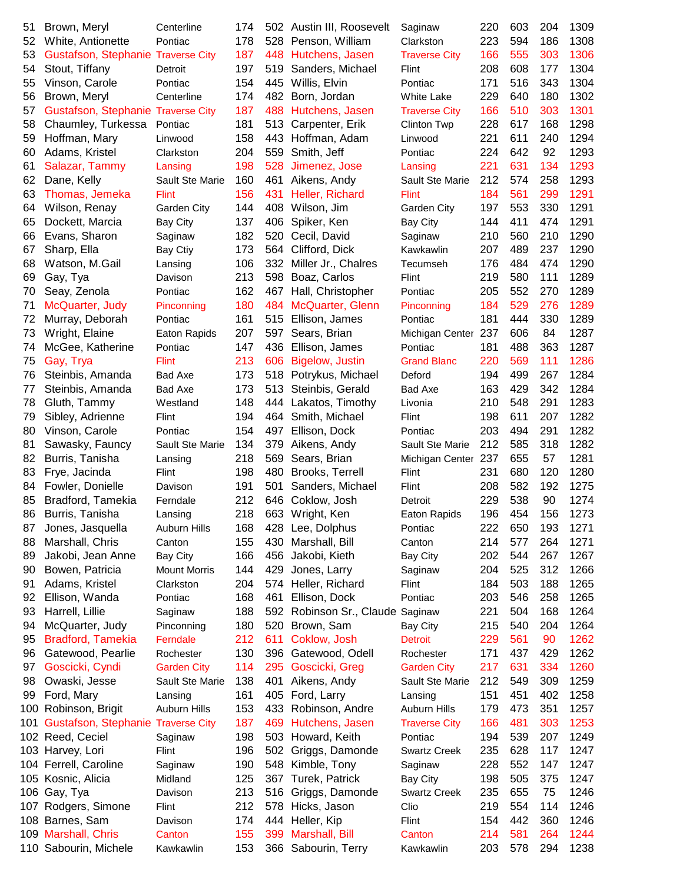| 51  |                             | C |
|-----|-----------------------------|---|
|     | Brown, Meryl                |   |
| 52  | White, Antionette           | F |
| 53  | <b>Gustafson, Stephanie</b> | Τ |
| 54  | Stout, Tiffany              | C |
| 55  | Vinson, Carole              | F |
| 56  | Brown, Meryl                | C |
| 57  | Gustafson, Stephanie        | T |
| 58  | Chaumley, Turkessa          | F |
| 59  |                             | L |
|     | Hoffman, Mary               |   |
| 60  | Adams, Kristel              | C |
| 61  | Salazar, Tammy              | L |
| 62  | Dane, Kelly                 | S |
| 63  | Thomas, Jemeka              | F |
| 64  | Wilson, Renay               | G |
| 65  | Dockett, Marcia             | В |
| 66  | Evans, Sharon               | S |
| 67  | Sharp, Ella                 | B |
| 68  | Watson, M.Gail              | L |
| 69  | Gay, Tya                    | D |
| 70  | Seay, Zenola                | P |
|     |                             |   |
| 71  | McQuarter, Judy             | F |
| 72  | Murray, Deborah             | F |
| 73  | Wright, Elaine              | E |
| 74  | McGee, Katherine            | F |
| 75  | Gay, Trya                   | F |
| 76  | Steinbis, Amanda            | B |
| 77  | Steinbis, Amanda            | B |
| 78  | Gluth, Tammy                | V |
| 79  | Sibley, Adrienne            | F |
| 80  | Vinson, Carole              | P |
| 81  | Sawasky, Fauncy             | S |
| 82  | Burris, Tanisha             | L |
| 83  | Frye, Jacinda               | F |
| 84  | Fowler, Donielle            | С |
| 85  |                             | F |
|     | Bradford, Tamekia           |   |
| 86  | Burris, Tanisha             | L |
| 87  | Jones, Jasquella            | Α |
| 88  | Marshall, Chris             | C |
| 89  | Jakobi, Jean Anne           | B |
| 90  | Bowen, Patricia             | N |
| 91  | Adams, Kristel              | C |
| 92  | Ellison, Wanda              | F |
| 93  | Harrell, Lillie             | S |
| 94  | McQuarter, Judy             | P |
| 95  | <b>Bradford, Tamekia</b>    | F |
| 96  | Gatewood, Pearlie           | R |
| 97  | Goscicki, Cyndi             | G |
| 98  | Owaski, Jesse               | S |
|     |                             |   |
| 99  | Ford, Mary                  | L |
| 100 | Robinson, Brigit            | Α |
| 101 | Gustafson, Stephanie        | T |
| 102 | Reed, Ceciel                | S |
| 103 | Harvey, Lori                | F |
| 104 | Ferrell, Caroline           | S |
| 105 | Kosnic, Alicia              | N |
| 106 | Gay, Tya                    | C |
| 107 | Rodgers, Simone             | F |
| 108 | Barnes, Sam                 | D |
| 109 | Marshall, Chris             | C |
| 110 | Sabourin, Michele           | K |
|     |                             |   |

| е           | 174 | 502     | Austin III, Ro       |
|-------------|-----|---------|----------------------|
|             | 178 | 528     | Penson, Will         |
| City        | 187 | 448     | Hutchens, Ja         |
|             | 197 | 519     | Sanders, Mio         |
|             | 154 | 445     | Willis, Elvin        |
| е           | 174 | 482     | Born, Jordar         |
| City        | 187 | 488     | Hutchens, Ja         |
|             | 181 | 513     | Carpenter, E         |
|             | 158 | 443     | Hoffman, Ad          |
| ì           | 204 | 559     | Smith, Jeff          |
|             | 198 | 528     | Jimenez, Jos         |
| Marie       | 160 | 461     | Aikens, Andy         |
|             | 156 | 431     | Heller, Richa        |
| City        | 144 | 408     | Wilson, Jim          |
|             | 137 | 406     | Spiker, Ken          |
|             | 182 | 520     | Cecil, David         |
|             | 173 | 564     | Clifford, Dick       |
|             | 106 | 332     | Miller Jr., Ch       |
|             | 213 | 598     | Boaz, Carlos         |
|             | 162 | 467     | Hall, Christo        |
| ng          | 180 | 484     | McQuarter, 0         |
|             | 161 | 515     | Ellison, Jam         |
| ipids       | 207 | 597     | Sears, Brian         |
|             | 147 | 436     | Ellison, Jam         |
|             | 213 | 606     | <b>Bigelow</b> , Jus |
|             | 173 | 518     | Potrykus, Mi         |
|             | 173 | 513     | Steinbis, Ge         |
| J           | 148 | 444     | Lakatos, Tim         |
|             | 194 | 464     | Smith, Micha         |
|             | 154 | 497     | Ellison, Docl        |
| Marie       | 134 | 379     | Aikens, Andy         |
|             | 218 | 569     | Sears, Brian         |
|             | 198 | 480     | Brooks, Terr         |
|             | 191 | 501     | Sanders, Mio         |
|             | 212 | 646     | Coklow, Josl         |
|             | 218 | 663     | Wright, Ken          |
| lills       | 168 | 428     | Lee, Dolphus         |
|             | 155 | 430     | Marshall, Bill       |
|             | 166 | 456     | Jakobi, Kieth        |
| orris       | 144 | 429     | Jones, Larry         |
| Ì           | 204 | 574     | Heller, Richa        |
|             | 168 | 461     | Ellison, Dock        |
|             | 188 | 592     | Robinson Sr          |
| ng          | 180 | 520     | Brown, Sam           |
|             | 212 | 611     | Coklow, Josl         |
| er          | 130 | 396     | Gatewood, C          |
| <b>City</b> | 114 | 295     | Goscicki, Gr         |
| Marie       | 138 | 401     | Aikens, Andy         |
|             | 161 | 405     | Ford, Larry          |
| lills       | 153 | 433     | Robinson, A          |
| City        | 187 | 469     | Hutchens, Ja         |
|             | 198 | 503     | Howard, Kei          |
|             | 196 | 502     | Griggs, Dam          |
|             | 190 | 548     | Kimble, Tony         |
|             | 125 | 367     | Turek, Patric        |
|             |     | 213 516 | Griggs, Dam          |
|             | 212 | 578     | Hicks, Jasor         |
|             | 174 | 444     | Heller, Kip          |
|             | 155 |         | 399 Marshall, Bil    |
| in          | 153 |         | 366 Sabourin, Te     |
|             |     |         |                      |

| 51 | Brown, Meryl                           | Centerline             | 174 |     | 502 Austin III, Roosevelt        | Saginaw              | 220 | 603 | 204 | 1309 |
|----|----------------------------------------|------------------------|-----|-----|----------------------------------|----------------------|-----|-----|-----|------|
| 52 | White, Antionette                      | Pontiac                | 178 |     | 528 Penson, William              | Clarkston            | 223 | 594 | 186 | 1308 |
| 53 | Gustafson, Stephanie Traverse City     |                        | 187 |     | 448 Hutchens, Jasen              | <b>Traverse City</b> | 166 | 555 | 303 | 1306 |
| 54 | Stout, Tiffany                         | Detroit                | 197 |     | 519 Sanders, Michael             | Flint                | 208 | 608 | 177 | 1304 |
| 55 | Vinson, Carole                         | Pontiac                | 154 |     | 445 Willis, Elvin                | Pontiac              | 171 | 516 | 343 | 1304 |
| 56 | Brown, Meryl                           | Centerline             | 174 |     | 482 Born, Jordan                 | <b>White Lake</b>    | 229 | 640 | 180 | 1302 |
| 57 | Gustafson, Stephanie Traverse City     |                        | 187 |     | 488 Hutchens, Jasen              | <b>Traverse City</b> | 166 | 510 | 303 | 1301 |
| 58 | Chaumley, Turkessa                     | Pontiac                | 181 | 513 | Carpenter, Erik                  | Clinton Twp          | 228 | 617 | 168 | 1298 |
| 59 | Hoffman, Mary                          | Linwood                | 158 | 443 | Hoffman, Adam                    | Linwood              | 221 | 611 | 240 | 1294 |
| 60 | Adams, Kristel                         | Clarkston              | 204 | 559 | Smith, Jeff                      | Pontiac              | 224 | 642 | 92  | 1293 |
| 61 | Salazar, Tammy                         | Lansing                | 198 | 528 | Jimenez, Jose                    | Lansing              | 221 | 631 | 134 | 1293 |
| 62 | Dane, Kelly                            | Sault Ste Marie        | 160 | 461 | Aikens, Andy                     | Sault Ste Marie      | 212 | 574 | 258 | 1293 |
| 63 | Thomas, Jemeka                         | <b>Flint</b>           | 156 | 431 | Heller, Richard                  | <b>Flint</b>         | 184 | 561 | 299 | 1291 |
| 64 | Wilson, Renay                          | Garden City            | 144 | 408 | Wilson, Jim                      | Garden City          | 197 | 553 | 330 | 1291 |
| 65 | Dockett, Marcia                        | Bay City               | 137 | 406 | Spiker, Ken                      | Bay City             | 144 | 411 | 474 | 1291 |
| 66 | Evans, Sharon                          | Saginaw                | 182 | 520 | Cecil, David                     | Saginaw              | 210 | 560 | 210 | 1290 |
| 67 | Sharp, Ella                            | Bay Ctiy               | 173 | 564 | Clifford, Dick                   | Kawkawlin            | 207 | 489 | 237 | 1290 |
| 68 | Watson, M.Gail                         |                        | 106 |     | 332 Miller Jr., Chalres          | Tecumseh             | 176 | 484 | 474 | 1290 |
| 69 | Gay, Tya                               | Lansing<br>Davison     | 213 | 598 | Boaz, Carlos                     | Flint                | 219 | 580 | 111 | 1289 |
|    |                                        |                        | 162 |     |                                  | Pontiac              | 205 | 552 | 270 | 1289 |
| 70 | Seay, Zenola                           | Pontiac                |     | 467 | Hall, Christopher                |                      |     |     | 276 | 1289 |
| 71 | McQuarter, Judy                        | Pinconning             | 180 | 484 | McQuarter, Glenn                 | Pinconning           | 184 | 529 |     |      |
| 72 | Murray, Deborah                        | Pontiac                | 161 | 515 | Ellison, James                   | Pontiac              | 181 | 444 | 330 | 1289 |
| 73 | Wright, Elaine                         | Eaton Rapids           | 207 | 597 | Sears, Brian                     | Michigan Center      | 237 | 606 | 84  | 1287 |
| 74 | McGee, Katherine                       | Pontiac                | 147 |     | 436 Ellison, James               | Pontiac              | 181 | 488 | 363 | 1287 |
| 75 | Gay, Trya                              | Flint                  | 213 | 606 | <b>Bigelow, Justin</b>           | <b>Grand Blanc</b>   | 220 | 569 | 111 | 1286 |
| 76 | Steinbis, Amanda                       | Bad Axe                | 173 |     | 518 Potrykus, Michael            | Deford               | 194 | 499 | 267 | 1284 |
| 77 | Steinbis, Amanda                       | Bad Axe                | 173 |     | 513 Steinbis, Gerald             | Bad Axe              | 163 | 429 | 342 | 1284 |
| 78 | Gluth, Tammy                           | Westland               | 148 |     | 444 Lakatos, Timothy             | Livonia              | 210 | 548 | 291 | 1283 |
| 79 | Sibley, Adrienne                       | Flint                  | 194 |     | 464 Smith, Michael               | Flint                | 198 | 611 | 207 | 1282 |
| 80 | Vinson, Carole                         | Pontiac                | 154 |     | 497 Ellison, Dock                | Pontiac              | 203 | 494 | 291 | 1282 |
| 81 | Sawasky, Fauncy                        | Sault Ste Marie        | 134 | 379 | Aikens, Andy                     | Sault Ste Marie      | 212 | 585 | 318 | 1282 |
| 82 | Burris, Tanisha                        | Lansing                | 218 | 569 | Sears, Brian                     | Michigan Center 237  |     | 655 | 57  | 1281 |
| 83 | Frye, Jacinda                          | Flint                  | 198 | 480 | Brooks, Terrell                  | Flint                | 231 | 680 | 120 | 1280 |
| 84 | Fowler, Donielle                       | Davison                | 191 | 501 | Sanders, Michael                 | Flint                | 208 | 582 | 192 | 1275 |
| 85 | Bradford, Tamekia                      | Ferndale               | 212 |     | 646 Coklow, Josh                 | Detroit              | 229 | 538 | 90  | 1274 |
| 86 | Burris, Tanisha                        | Lansing                | 218 |     | 663 Wright, Ken                  | Eaton Rapids         | 196 | 454 | 156 | 1273 |
| 87 | Jones, Jasquella                       | Auburn Hills           | 168 |     | 428 Lee, Dolphus                 | Pontiac              | 222 | 650 | 193 | 1271 |
| 88 | Marshall, Chris                        | Canton                 | 155 | 430 | Marshall, Bill                   | Canton               | 214 | 577 | 264 | 1271 |
| 89 | Jakobi, Jean Anne                      | <b>Bay City</b>        | 166 | 456 | Jakobi, Kieth                    | <b>Bay City</b>      | 202 | 544 | 267 | 1267 |
| 90 | Bowen, Patricia                        | <b>Mount Morris</b>    | 144 | 429 | Jones, Larry                     | Saginaw              | 204 | 525 | 312 | 1266 |
| 91 | Adams, Kristel                         | Clarkston              | 204 |     | 574 Heller, Richard              | Flint                | 184 | 503 | 188 | 1265 |
| 92 | Ellison, Wanda                         | Pontiac                | 168 |     | 461 Ellison, Dock                | Pontiac              | 203 | 546 | 258 | 1265 |
| 93 | Harrell, Lillie                        | Saginaw                | 188 |     | 592 Robinson Sr., Claude Saginaw |                      | 221 | 504 | 168 | 1264 |
| 94 | McQuarter, Judy                        | Pinconning             | 180 |     | 520 Brown, Sam                   | <b>Bay City</b>      | 215 | 540 | 204 | 1264 |
| 95 | <b>Bradford, Tamekia</b>               | Ferndale               | 212 | 611 | Coklow, Josh                     | <b>Detroit</b>       | 229 | 561 | 90  | 1262 |
| 96 | Gatewood, Pearlie                      | Rochester              | 130 |     | 396 Gatewood, Odell              | Rochester            | 171 | 437 | 429 | 1262 |
| 97 | Goscicki, Cyndi                        | <b>Garden City</b>     | 114 |     | 295 Goscicki, Greg               | <b>Garden City</b>   | 217 | 631 | 334 | 1260 |
| 98 | Owaski, Jesse                          | <b>Sault Ste Marie</b> | 138 | 401 | Aikens, Andy                     | Sault Ste Marie      | 212 | 549 | 309 | 1259 |
| 99 | Ford, Mary                             | Lansing                | 161 |     | 405 Ford, Larry                  | Lansing              | 151 | 451 | 402 | 1258 |
|    | 100 Robinson, Brigit                   | Auburn Hills           | 153 |     | 433 Robinson, Andre              | <b>Auburn Hills</b>  | 179 | 473 | 351 | 1257 |
|    | 101 Gustafson, Stephanie Traverse City |                        | 187 |     | 469 Hutchens, Jasen              | <b>Traverse City</b> | 166 | 481 | 303 | 1253 |
|    | 102 Reed, Ceciel                       | Saginaw                | 198 |     | 503 Howard, Keith                | Pontiac              | 194 | 539 | 207 | 1249 |
|    | 103 Harvey, Lori                       | Flint                  | 196 |     | 502 Griggs, Damonde              | <b>Swartz Creek</b>  | 235 | 628 | 117 | 1247 |
|    | 104 Ferrell, Caroline                  | Saginaw                | 190 |     | 548 Kimble, Tony                 | Saginaw              | 228 | 552 | 147 | 1247 |
|    | 105 Kosnic, Alicia                     | Midland                | 125 |     | 367 Turek, Patrick               | <b>Bay City</b>      | 198 | 505 | 375 | 1247 |
|    | 106 Gay, Tya                           | Davison                | 213 |     | 516 Griggs, Damonde              | <b>Swartz Creek</b>  | 235 | 655 | 75  | 1246 |
|    | 107 Rodgers, Simone                    | Flint                  | 212 |     | 578 Hicks, Jason                 | Clio                 | 219 | 554 | 114 | 1246 |
|    | 108 Barnes, Sam                        |                        | 174 |     | 444 Heller, Kip                  | Flint                | 154 | 442 | 360 | 1246 |
|    | 109 Marshall, Chris                    | Davison                | 155 |     | 399 Marshall, Bill               |                      | 214 | 581 | 264 | 1244 |
|    |                                        | Canton<br>Kawkawlin    | 153 |     | 366 Sabourin, Terry              | Canton               | 203 | 578 | 294 | 1238 |
|    | 110 Sabourin, Michele                  |                        |     |     |                                  | Kawkawlin            |     |     |     |      |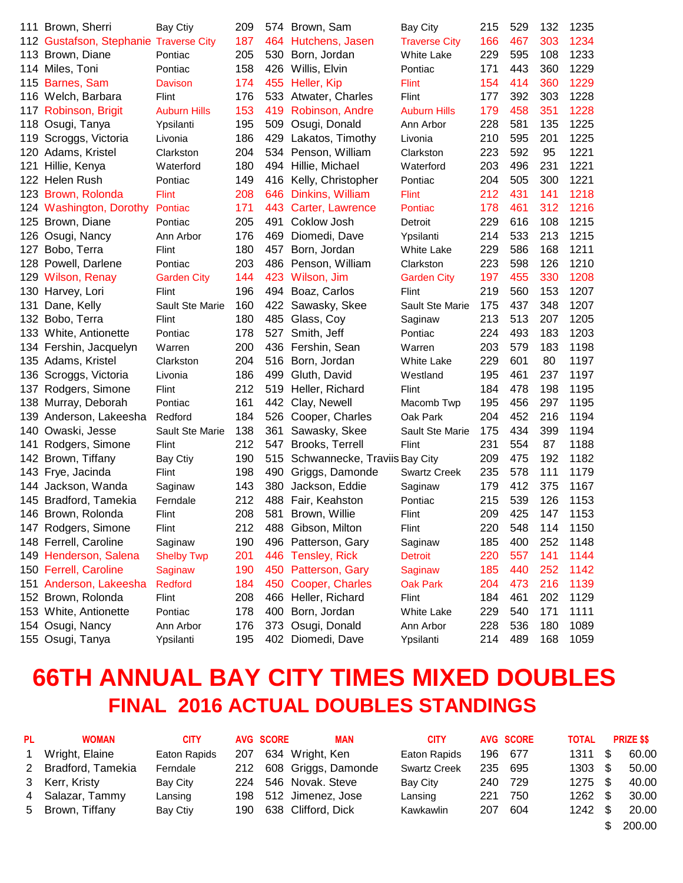|     | 111 Brown, Sherri                      | Bay Ctiy            | 209 |      | 574 Brown, Sam                | <b>Bay City</b>      | 215 | 529 | 132 | 1235 |
|-----|----------------------------------------|---------------------|-----|------|-------------------------------|----------------------|-----|-----|-----|------|
|     | 112 Gustafson, Stephanie Traverse City |                     | 187 | 464  | Hutchens, Jasen               | <b>Traverse City</b> | 166 | 467 | 303 | 1234 |
|     | 113 Brown, Diane                       | Pontiac             | 205 | 530  | Born, Jordan                  | <b>White Lake</b>    | 229 | 595 | 108 | 1233 |
|     | 114 Miles, Toni                        | Pontiac             | 158 | 426  | Willis, Elvin                 | Pontiac              | 171 | 443 | 360 | 1229 |
|     | 115 Barnes, Sam                        | <b>Davison</b>      | 174 | 455  | Heller, Kip                   | <b>Flint</b>         | 154 | 414 | 360 | 1229 |
|     | 116 Welch, Barbara                     | Flint               | 176 | 533  | Atwater, Charles              | Flint                | 177 | 392 | 303 | 1228 |
|     | 117 Robinson, Brigit                   | <b>Auburn Hills</b> | 153 | 419  | Robinson, Andre               | <b>Auburn Hills</b>  | 179 | 458 | 351 | 1228 |
|     | 118 Osugi, Tanya                       | Ypsilanti           | 195 | 509  | Osugi, Donald                 | Ann Arbor            | 228 | 581 | 135 | 1225 |
|     | 119 Scroggs, Victoria                  | Livonia             | 186 | 429  | Lakatos, Timothy              | Livonia              | 210 | 595 | 201 | 1225 |
|     | 120 Adams, Kristel                     | Clarkston           | 204 |      | 534 Penson, William           | Clarkston            | 223 | 592 | 95  | 1221 |
| 121 | Hillie, Kenya                          | Waterford           | 180 | 494  | Hillie, Michael               | Waterford            | 203 | 496 | 231 | 1221 |
|     | 122 Helen Rush                         | Pontiac             | 149 | 416  | Kelly, Christopher            | Pontiac              | 204 | 505 | 300 | 1221 |
|     | 123 Brown, Rolonda                     | <b>Flint</b>        | 208 | 646  | Dinkins, William              | <b>Flint</b>         | 212 | 431 | 141 | 1218 |
|     | 124 Washington, Dorothy                | Pontiac             | 171 | 443. | Carter, Lawrence              | Pontiac              | 178 | 461 | 312 | 1216 |
|     | 125 Brown, Diane                       | Pontiac             | 205 | 491  | Coklow Josh                   | Detroit              | 229 | 616 | 108 | 1215 |
| 126 | Osugi, Nancy                           | Ann Arbor           | 176 | 469  | Diomedi, Dave                 | Ypsilanti            | 214 | 533 | 213 | 1215 |
| 127 | Bobo, Terra                            | Flint               | 180 | 457  | Born, Jordan                  | <b>White Lake</b>    | 229 | 586 | 168 | 1211 |
|     | 128 Powell, Darlene                    | Pontiac             | 203 | 486  | Penson, William               | Clarkston            | 223 | 598 | 126 | 1210 |
|     | 129 Wilson, Renay                      | <b>Garden City</b>  | 144 | 423  | Wilson, Jim                   | <b>Garden City</b>   | 197 | 455 | 330 | 1208 |
|     | 130 Harvey, Lori                       | Flint               | 196 | 494  | Boaz, Carlos                  | Flint                | 219 | 560 | 153 | 1207 |
| 131 | Dane, Kelly                            | Sault Ste Marie     | 160 | 422  | Sawasky, Skee                 | Sault Ste Marie      | 175 | 437 | 348 | 1207 |
|     | 132 Bobo, Terra                        | Flint               | 180 | 485  | Glass, Coy                    | Saginaw              | 213 | 513 | 207 | 1205 |
|     | 133 White, Antionette                  | Pontiac             | 178 | 527  | Smith, Jeff                   | Pontiac              | 224 | 493 | 183 | 1203 |
|     | 134 Fershin, Jacquelyn                 | Warren              | 200 |      | 436 Fershin, Sean             | Warren               | 203 | 579 | 183 | 1198 |
|     | 135 Adams, Kristel                     | Clarkston           | 204 | 516  | Born, Jordan                  | White Lake           | 229 | 601 | 80  | 1197 |
|     | 136 Scroggs, Victoria                  | Livonia             | 186 | 499  | Gluth, David                  | Westland             | 195 | 461 | 237 | 1197 |
| 137 | Rodgers, Simone                        | Flint               | 212 | 519  | Heller, Richard               | Flint                | 184 | 478 | 198 | 1195 |
|     | 138 Murray, Deborah                    | Pontiac             | 161 | 442  | Clay, Newell                  | Macomb Twp           | 195 | 456 | 297 | 1195 |
| 139 | Anderson, Lakeesha                     | Redford             | 184 | 526  | Cooper, Charles               | Oak Park             | 204 | 452 | 216 | 1194 |
| 140 | Owaski, Jesse                          | Sault Ste Marie     | 138 | 361  | Sawasky, Skee                 | Sault Ste Marie      | 175 | 434 | 399 | 1194 |
| 141 | Rodgers, Simone                        | Flint               | 212 | 547  | Brooks, Terrell               | Flint                | 231 | 554 | 87  | 1188 |
|     | 142 Brown, Tiffany                     | <b>Bay Ctiy</b>     | 190 | 515  | Schwannecke, Traviis Bay City |                      | 209 | 475 | 192 | 1182 |
|     | 143 Frye, Jacinda                      | Flint               | 198 | 490  | Griggs, Damonde               | <b>Swartz Creek</b>  | 235 | 578 | 111 | 1179 |
|     | 144 Jackson, Wanda                     | Saginaw             | 143 | 380  | Jackson, Eddie                | Saginaw              | 179 | 412 | 375 | 1167 |
|     | 145 Bradford, Tamekia                  | Ferndale            | 212 | 488  | Fair, Keahston                | Pontiac              | 215 | 539 | 126 | 1153 |
|     | 146 Brown, Rolonda                     | Flint               | 208 | 581  | Brown, Willie                 | Flint                | 209 | 425 | 147 | 1153 |
|     | 147 Rodgers, Simone                    | Flint               | 212 |      | 488 Gibson, Milton            | Flint                | 220 | 548 | 114 | 1150 |
|     | 148 Ferrell, Caroline                  | Saginaw             | 190 | 496  | Patterson, Gary               | Saginaw              | 185 | 400 | 252 | 1148 |
|     | 149 Henderson, Salena                  | <b>Shelby Twp</b>   | 201 | 446  | <b>Tensley, Rick</b>          | <b>Detroit</b>       | 220 | 557 | 141 | 1144 |
|     | 150 Ferrell, Caroline                  | Saginaw             | 190 | 450  | Patterson, Gary               | Saginaw              | 185 | 440 | 252 | 1142 |
|     | 151 Anderson, Lakeesha                 | <b>Redford</b>      | 184 | 450  | Cooper, Charles               | <b>Oak Park</b>      | 204 | 473 | 216 | 1139 |
|     | 152 Brown, Rolonda                     | Flint               | 208 | 466  | Heller, Richard               | Flint                | 184 | 461 | 202 | 1129 |
|     | 153 White, Antionette                  | Pontiac             | 178 | 400  | Born, Jordan                  | <b>White Lake</b>    | 229 | 540 | 171 | 1111 |
|     | 154 Osugi, Nancy                       | Ann Arbor           | 176 |      | 373 Osugi, Donald             | Ann Arbor            | 228 | 536 | 180 | 1089 |
|     | 155 Osugi, Tanya                       | Ypsilanti           | 195 |      | 402 Diomedi, Dave             | Ypsilanti            | 214 | 489 | 168 | 1059 |

#### **66TH ANNUAL BAY CITY TIMES MIXED DOUBLES FINAL 2016 ACTUAL DOUBLES STANDINGS**

| PL.          | <b>WOMAN</b>        | <b>CITY</b>  |     | <b>AVG SCORE</b> | <b>MAN</b>              | <b>CITY</b>         |     | AVG SCORE | <b>TOTAL</b>      | <b>PRIZE \$\$</b> |
|--------------|---------------------|--------------|-----|------------------|-------------------------|---------------------|-----|-----------|-------------------|-------------------|
| $\mathbf{1}$ | Wright, Elaine      | Eaton Rapids | 207 |                  | 634 Wright, Ken         | Eaton Rapids        |     | 196 677   | 1311S             | 60.00             |
|              | 2 Bradford, Tamekia | Ferndale     |     |                  | 212 608 Griggs, Damonde | <b>Swartz Creek</b> | 235 | 695       | $1303 \quad $$    | 50.00             |
|              | 3 Kerr, Kristy      | Bay City     |     |                  | 224 546 Novak. Steve    | Bay City            | 240 | - 729     | $1275$ \$         | 40.00             |
|              | 4 Salazar, Tammy    | Lansing      |     |                  | 198 512 Jimenez, Jose   | Lansing             | 221 | 750       | $1262 \quad $$    | 30.00             |
|              | 5 Brown, Tiffany    | Bay Ctiy     |     |                  | 190 638 Clifford, Dick  | Kawkawlin           | 207 | 604       | $1242 \text{ } $$ | 20.00             |
|              |                     |              |     |                  |                         |                     |     |           |                   | 200.00            |